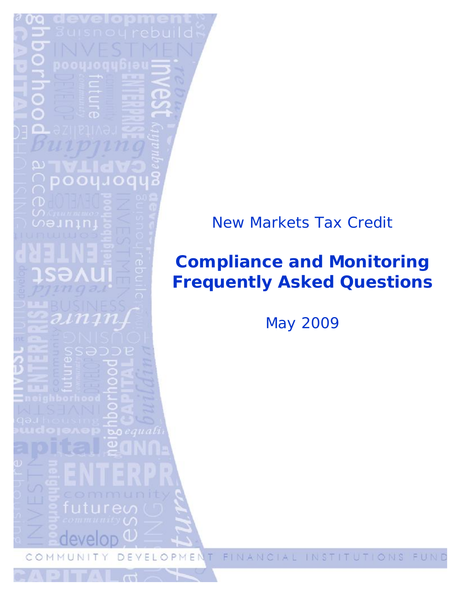

# **Compliance and Monitoring Frequently Asked Questions**

May 2009

P ME E L O  $\circ$ J) Τ

FINA INSTITUTIONS IAL EU N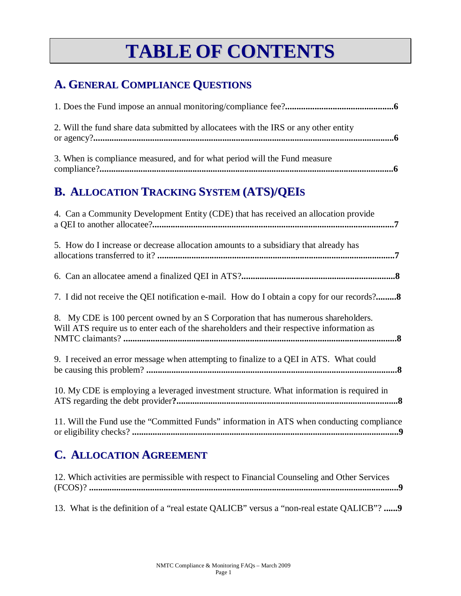# **TABLE OF CONTENTS**

# **A. GENERAL COMPLIANCE QUESTIONS**

| 2. Will the fund share data submitted by allocate is with the IRS or any other entity |  |
|---------------------------------------------------------------------------------------|--|
| 3. When is compliance measured, and for what period will the Fund measure             |  |

## **B. ALLOCATION TRACKING SYSTEM (ATS)/QEIS**

| 4. Can a Community Development Entity (CDE) that has received an allocation provide                                                                                             |  |
|---------------------------------------------------------------------------------------------------------------------------------------------------------------------------------|--|
| 5. How do I increase or decrease allocation amounts to a subsidiary that already has                                                                                            |  |
|                                                                                                                                                                                 |  |
| 7. I did not receive the QEI notification e-mail. How do I obtain a copy for our records?                                                                                       |  |
| 8. My CDE is 100 percent owned by an S Corporation that has numerous shareholders.<br>Will ATS require us to enter each of the shareholders and their respective information as |  |
| 9. I received an error message when attempting to finalize to a QEI in ATS. What could                                                                                          |  |
| 10. My CDE is employing a leveraged investment structure. What information is required in                                                                                       |  |
| 11. Will the Fund use the "Committed Funds" information in ATS when conducting compliance                                                                                       |  |

### **C. ALLOCATION AGREEMENT**

| 12. Which activities are permissible with respect to Financial Counseling and Other Services |  |
|----------------------------------------------------------------------------------------------|--|
|                                                                                              |  |

13. What is the definition of a "real estate QALICB" versus a "non-real estate QALICB"? **......9**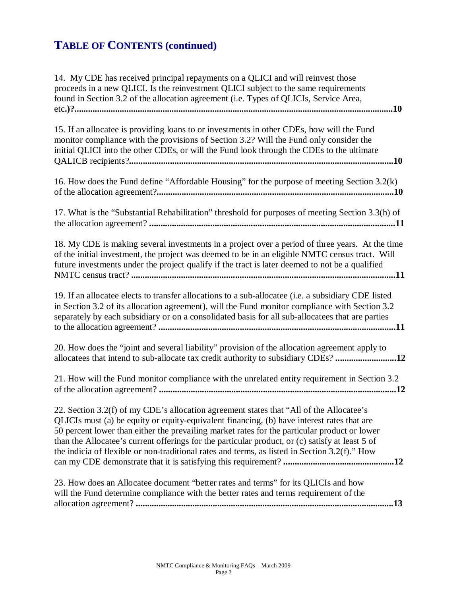| 14. My CDE has received principal repayments on a QLICI and will reinvest those<br>proceeds in a new QLICI. Is the reinvestment QLICI subject to the same requirements<br>found in Section 3.2 of the allocation agreement (i.e. Types of QLICIs, Service Area,                                                                                                                                                                                                                           |
|-------------------------------------------------------------------------------------------------------------------------------------------------------------------------------------------------------------------------------------------------------------------------------------------------------------------------------------------------------------------------------------------------------------------------------------------------------------------------------------------|
| 10<br>15. If an allocatee is providing loans to or investments in other CDEs, how will the Fund<br>monitor compliance with the provisions of Section 3.2? Will the Fund only consider the                                                                                                                                                                                                                                                                                                 |
| initial QLICI into the other CDEs, or will the Fund look through the CDEs to the ultimate                                                                                                                                                                                                                                                                                                                                                                                                 |
| 16. How does the Fund define "Affordable Housing" for the purpose of meeting Section 3.2(k)                                                                                                                                                                                                                                                                                                                                                                                               |
| 17. What is the "Substantial Rehabilitation" threshold for purposes of meeting Section 3.3(h) of                                                                                                                                                                                                                                                                                                                                                                                          |
| 18. My CDE is making several investments in a project over a period of three years. At the time<br>of the initial investment, the project was deemed to be in an eligible NMTC census tract. Will<br>future investments under the project qualify if the tract is later deemed to not be a qualified                                                                                                                                                                                      |
| 19. If an allocatee elects to transfer allocations to a sub-allocatee (i.e. a subsidiary CDE listed<br>in Section 3.2 of its allocation agreement), will the Fund monitor compliance with Section 3.2<br>separately by each subsidiary or on a consolidated basis for all sub-allocatees that are parties                                                                                                                                                                                 |
| 20. How does the "joint and several liability" provision of the allocation agreement apply to<br>allocatees that intend to sub-allocate tax credit authority to subsidiary CDEs?12                                                                                                                                                                                                                                                                                                        |
| 21. How will the Fund monitor compliance with the unrelated entity requirement in Section 3.2                                                                                                                                                                                                                                                                                                                                                                                             |
| 22. Section 3.2(f) of my CDE's allocation agreement states that "All of the Allocatee's<br>QLICIs must (a) be equity or equity-equivalent financing, (b) have interest rates that are<br>50 percent lower than either the prevailing market rates for the particular product or lower<br>than the Allocatee's current offerings for the particular product, or (c) satisfy at least 5 of<br>the indicia of flexible or non-traditional rates and terms, as listed in Section 3.2(f)." How |
| 23. How does an Allocatee document "better rates and terms" for its QLICIs and how<br>will the Fund determine compliance with the better rates and terms requirement of the                                                                                                                                                                                                                                                                                                               |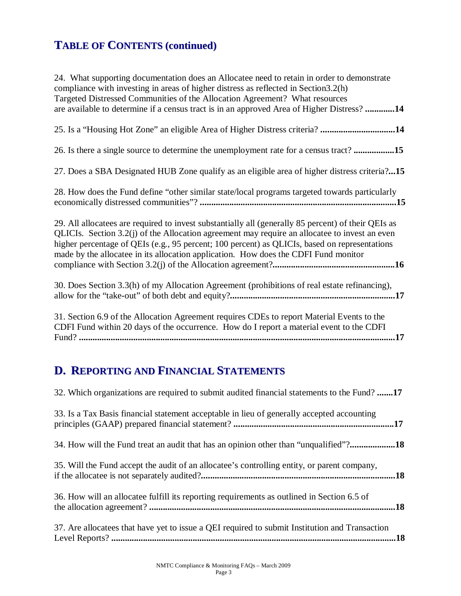| 24. What supporting documentation does an Allocatee need to retain in order to demonstrate<br>compliance with investing in areas of higher distress as reflected in Section3.2(h)<br>Targeted Distressed Communities of the Allocation Agreement? What resources<br>are available to determine if a census tract is in an approved Area of Higher Distress?14                                |
|----------------------------------------------------------------------------------------------------------------------------------------------------------------------------------------------------------------------------------------------------------------------------------------------------------------------------------------------------------------------------------------------|
| 25. Is a "Housing Hot Zone" an eligible Area of Higher Distress criteria? 14                                                                                                                                                                                                                                                                                                                 |
| 26. Is there a single source to determine the unemployment rate for a census tract? 15                                                                                                                                                                                                                                                                                                       |
| 27. Does a SBA Designated HUB Zone qualify as an eligible area of higher distress criteria?15                                                                                                                                                                                                                                                                                                |
| 28. How does the Fund define "other similar state/local programs targeted towards particularly                                                                                                                                                                                                                                                                                               |
| 29. All allocatees are required to invest substantially all (generally 85 percent) of their QEIs as<br>QLICIs. Section 3.2(j) of the Allocation agreement may require an allocatee to invest an even<br>higher percentage of QEIs (e.g., 95 percent; 100 percent) as QLICIs, based on representations<br>made by the allocatee in its allocation application. How does the CDFI Fund monitor |
| 30. Does Section 3.3(h) of my Allocation Agreement (prohibitions of real estate refinancing),                                                                                                                                                                                                                                                                                                |
| 31. Section 6.9 of the Allocation Agreement requires CDEs to report Material Events to the<br>CDFI Fund within 20 days of the occurrence. How do I report a material event to the CDFI                                                                                                                                                                                                       |

# **D. REPORTING AND FINANCIAL STATEMENTS**

| 32. Which organizations are required to submit audited financial statements to the Fund? 17    |    |
|------------------------------------------------------------------------------------------------|----|
| 33. Is a Tax Basis financial statement acceptable in lieu of generally accepted accounting     |    |
| 34. How will the Fund treat an audit that has an opinion other than "unqualified"?18           |    |
| 35. Will the Fund accept the audit of an allocatee's controlling entity, or parent company,    |    |
| 36. How will an allocatee fulfill its reporting requirements as outlined in Section 6.5 of     |    |
| 37. Are allocatees that have yet to issue a QEI required to submit Institution and Transaction | 18 |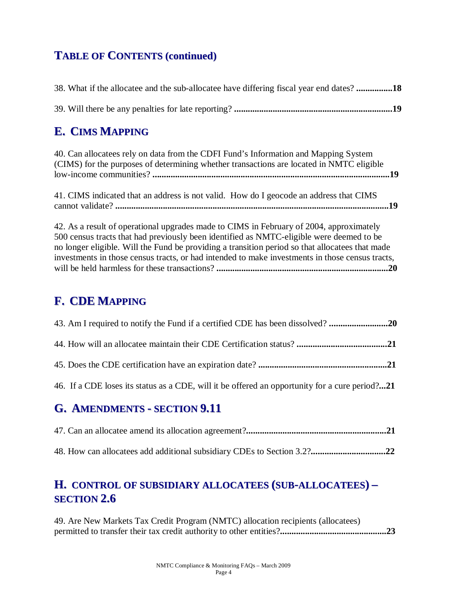| 38. What if the allocate and the sub-allocate have differing fiscal year end dates?18 |  |
|---------------------------------------------------------------------------------------|--|
|                                                                                       |  |

### **E. CIMS MAPPING**

| 40. Can allocate es rely on data from the CDFI Fund's Information and Mapping System     |  |
|------------------------------------------------------------------------------------------|--|
| (CIMS) for the purposes of determining whether transactions are located in NMTC eligible |  |
|                                                                                          |  |

41. CIMS indicated that an address is not valid. How do I geocode an address that CIMS cannot validate? **.........................................................................................................................19** 

42. As a result of operational upgrades made to CIMS in February of 2004, approximately 500 census tracts that had previously been identified as NMTC-eligible were deemed to be no longer eligible. Will the Fund be providing a transition period so that allocatees that made investments in those census tracts, or had intended to make investments in those census tracts, will be held harmless for these transactions? **............................................................................20** 

### **F. CDE MAPPING**

| 43. Am I required to notify the Fund if a certified CDE has been dissolved?                    |
|------------------------------------------------------------------------------------------------|
|                                                                                                |
|                                                                                                |
| 46. If a CDE loses its status as a CDE, will it be offered an opportunity for a cure period?21 |

### **G. AMENDMENTS - SECTION 9.11**

48. How can allocatees add additional subsidiary CDEs to Section 3.2?**.................................22** 

### **H. CONTROL OF SUBSIDIARY ALLOCATEES (SUB-ALLOCATEES) – SECTION 2.6**

49. Are New Markets Tax Credit Program (NMTC) allocation recipients (allocatees) permitted to transfer their tax credit authority to other entities?**...............................................23**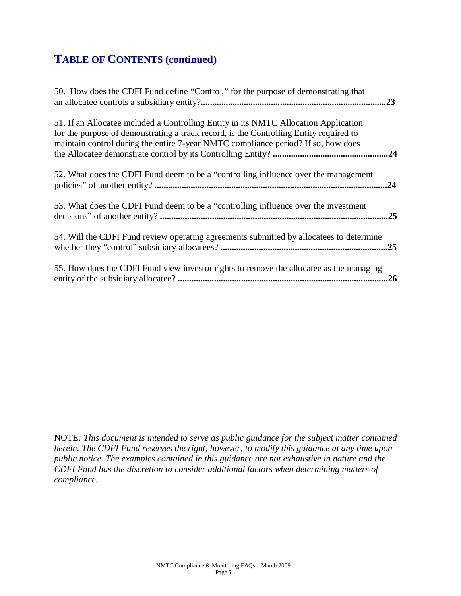| 50. How does the CDFI Fund define "Control," for the purpose of demonstrating that                                                                                                                                                                                  | .23 |
|---------------------------------------------------------------------------------------------------------------------------------------------------------------------------------------------------------------------------------------------------------------------|-----|
| 51. If an Allocatee included a Controlling Entity in its NMTC Allocation Application<br>for the purpose of demonstrating a track record, is the Controlling Entity required to<br>maintain control during the entire 7-year NMTC compliance period? If so, how does |     |
| 52. What does the CDFI Fund deem to be a "controlling influence over the management"                                                                                                                                                                                | .24 |
| 53. What does the CDFI Fund deem to be a "controlling influence over the investment                                                                                                                                                                                 | .25 |
| 54. Will the CDFI Fund review operating agreements submitted by allocatees to determine                                                                                                                                                                             |     |
| 55. How does the CDFI Fund view investor rights to remove the allocatee as the managing                                                                                                                                                                             | .26 |

NOTE*: This document is intended to serve as public guidance for the subject matter contained herein. The CDFI Fund reserves the right, however, to modify this guidance at any time upon public notice. The examples contained in this guidance are not exhaustive in nature and the CDFI Fund has the discretion to consider additional factors when determining matters of compliance.*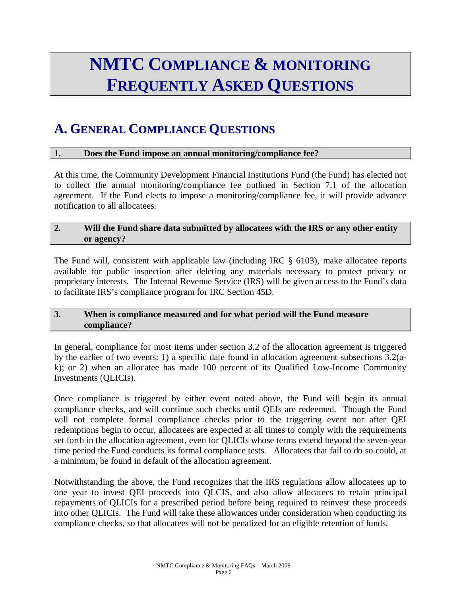# **NMTC COMPLIANCE & MONITORING FREQUENTLY ASKED QUESTIONS**

# **A. GENERAL COMPLIANCE QUESTIONS**

#### **1. Does the Fund impose an annual monitoring/compliance fee?**

At this time, the Community Development Financial Institutions Fund (the Fund) has elected not to collect the annual monitoring/compliance fee outlined in Section 7.1 of the allocation agreement. If the Fund elects to impose a monitoring/compliance fee, it will provide advance notification to all allocatees.

#### **2. Will the Fund share data submitted by allocatees with the IRS or any other entity or agency?**

The Fund will, consistent with applicable law (including IRC § 6103), make allocatee reports available for public inspection after deleting any materials necessary to protect privacy or proprietary interests. The Internal Revenue Service (IRS) will be given access to the Fund's data to facilitate IRS's compliance program for IRC Section 45D.

#### **3. When is compliance measured and for what period will the Fund measure compliance?**

In general, compliance for most items under section 3.2 of the allocation agreement is triggered by the earlier of two events: 1) a specific date found in allocation agreement subsections 3.2(ak); or 2) when an allocatee has made 100 percent of its Qualified Low-Income Community Investments (QLICIs).

Once compliance is triggered by either event noted above, the Fund will begin its annual compliance checks, and will continue such checks until QEIs are redeemed. Though the Fund will not complete formal compliance checks prior to the triggering event nor after QEI redemptions begin to occur, allocatees are expected at all times to comply with the requirements set forth in the allocation agreement, even for QLICIs whose terms extend beyond the seven-year time period the Fund conducts its formal compliance tests. Allocatees that fail to do so could, at a minimum, be found in default of the allocation agreement.

Notwithstanding the above, the Fund recognizes that the IRS regulations allow allocatees up to one year to invest QEI proceeds into QLCIS, and also allow allocatees to retain principal repayments of QLICIs for a prescribed period before being required to reinvest these proceeds into other QLICIs. The Fund will take these allowances under consideration when conducting its compliance checks, so that allocatees will not be penalized for an eligible retention of funds.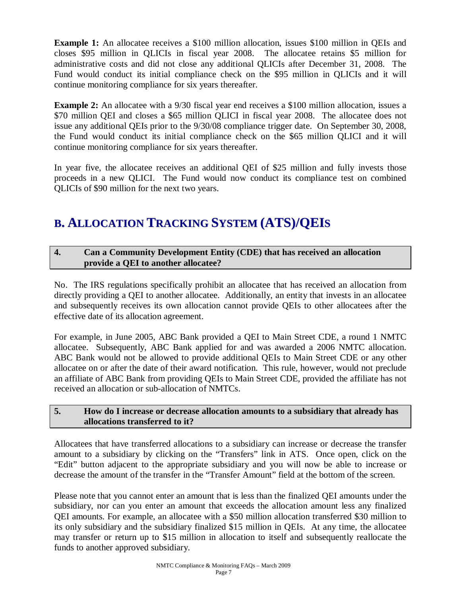**Example 1:** An allocatee receives a \$100 million allocation, issues \$100 million in QEIs and closes \$95 million in QLICIs in fiscal year 2008. The allocatee retains \$5 million for administrative costs and did not close any additional QLICIs after December 31, 2008. The Fund would conduct its initial compliance check on the \$95 million in QLICIs and it will continue monitoring compliance for six years thereafter.

**Example 2:** An allocatee with a 9/30 fiscal year end receives a \$100 million allocation, issues a \$70 million QEI and closes a \$65 million QLICI in fiscal year 2008. The allocatee does not issue any additional QEIs prior to the 9/30/08 compliance trigger date. On September 30, 2008, the Fund would conduct its initial compliance check on the \$65 million QLICI and it will continue monitoring compliance for six years thereafter.

In year five, the allocatee receives an additional QEI of \$25 million and fully invests those proceeds in a new QLICI. The Fund would now conduct its compliance test on combined QLICIs of \$90 million for the next two years.

# **B. ALLOCATION TRACKING SYSTEM (ATS)/QEIS**

#### **4. Can a Community Development Entity (CDE) that has received an allocation provide a QEI to another allocatee?**

No. The IRS regulations specifically prohibit an allocatee that has received an allocation from directly providing a QEI to another allocatee. Additionally, an entity that invests in an allocatee and subsequently receives its own allocation cannot provide QEIs to other allocatees after the effective date of its allocation agreement.

For example, in June 2005, ABC Bank provided a QEI to Main Street CDE, a round 1 NMTC allocatee. Subsequently, ABC Bank applied for and was awarded a 2006 NMTC allocation. ABC Bank would not be allowed to provide additional QEIs to Main Street CDE or any other allocatee on or after the date of their award notification. This rule, however, would not preclude an affiliate of ABC Bank from providing QEIs to Main Street CDE, provided the affiliate has not received an allocation or sub-allocation of NMTCs.

#### **5. How do I increase or decrease allocation amounts to a subsidiary that already has allocations transferred to it?**

Allocatees that have transferred allocations to a subsidiary can increase or decrease the transfer amount to a subsidiary by clicking on the "Transfers" link in ATS. Once open, click on the "Edit" button adjacent to the appropriate subsidiary and you will now be able to increase or decrease the amount of the transfer in the "Transfer Amount" field at the bottom of the screen.

Please note that you cannot enter an amount that is less than the finalized QEI amounts under the subsidiary, nor can you enter an amount that exceeds the allocation amount less any finalized QEI amounts. For example, an allocatee with a \$50 million allocation transferred \$30 million to its only subsidiary and the subsidiary finalized \$15 million in QEIs. At any time, the allocatee may transfer or return up to \$15 million in allocation to itself and subsequently reallocate the funds to another approved subsidiary.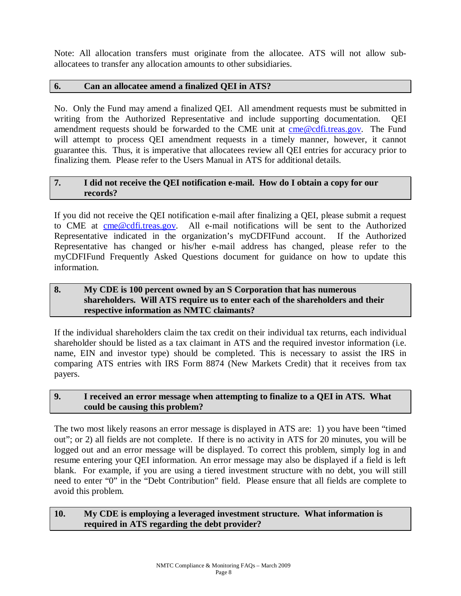Note: All allocation transfers must originate from the allocatee. ATS will not allow suballocatees to transfer any allocation amounts to other subsidiaries.

#### **6. Can an allocatee amend a finalized QEI in ATS?**

No. Only the Fund may amend a finalized QEI. All amendment requests must be submitted in writing from the Authorized Representative and include supporting documentation. QEI amendment requests should be forwarded to the CME unit at [cme@cdfi.treas.gov.](mailto:cme@cdfi.treas.gov) The Fund will attempt to process QEI amendment requests in a timely manner, however, it cannot guarantee this. Thus, it is imperative that allocatees review all QEI entries for accuracy prior to finalizing them. Please refer to the Users Manual in ATS for additional details.

#### **7. I did not receive the QEI notification e-mail. How do I obtain a copy for our records?**

If you did not receive the QEI notification e-mail after finalizing a QEI, please submit a request to CME at [cme@cdfi.treas.gov.](mailto:cme@cdfi.treas.gov) All e-mail notifications will be sent to the Authorized Representative indicated in the organization's myCDFIFund account. If the Authorized Representative has changed or his/her e-mail address has changed, please refer to the myCDFIFund Frequently Asked Questions document for guidance on how to update this information.

#### **8. My CDE is 100 percent owned by an S Corporation that has numerous shareholders. Will ATS require us to enter each of the shareholders and their respective information as NMTC claimants?**

If the individual shareholders claim the tax credit on their individual tax returns, each individual shareholder should be listed as a tax claimant in ATS and the required investor information (i.e. name, EIN and investor type) should be completed. This is necessary to assist the IRS in comparing ATS entries with IRS Form 8874 (New Markets Credit) that it receives from tax payers.

#### **9. I received an error message when attempting to finalize to a QEI in ATS. What could be causing this problem?**

The two most likely reasons an error message is displayed in ATS are: 1) you have been "timed out"; or 2) all fields are not complete. If there is no activity in ATS for 20 minutes, you will be logged out and an error message will be displayed. To correct this problem, simply log in and resume entering your QEI information. An error message may also be displayed if a field is left blank. For example, if you are using a tiered investment structure with no debt, you will still need to enter "0" in the "Debt Contribution" field. Please ensure that all fields are complete to avoid this problem.

#### **10. My CDE is employing a leveraged investment structure. What information is required in ATS regarding the debt provider?**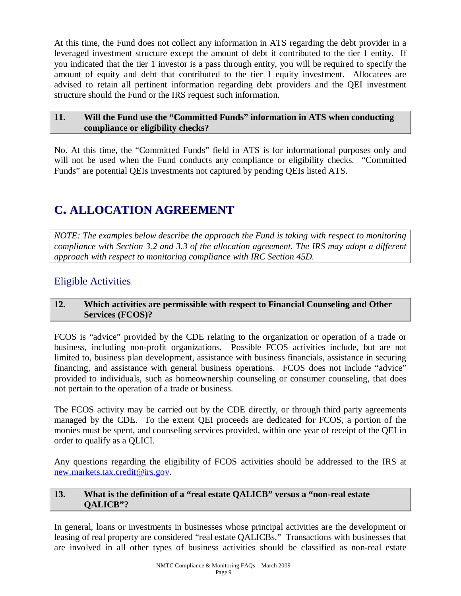At this time, the Fund does not collect any information in ATS regarding the debt provider in a leveraged investment structure except the amount of debt it contributed to the tier 1 entity. If you indicated that the tier 1 investor is a pass through entity, you will be required to specify the amount of equity and debt that contributed to the tier 1 equity investment. Allocatees are advised to retain all pertinent information regarding debt providers and the QEI investment structure should the Fund or the IRS request such information.

#### **11. Will the Fund use the "Committed Funds" information in ATS when conducting compliance or eligibility checks?**

No. At this time, the "Committed Funds" field in ATS is for informational purposes only and will not be used when the Fund conducts any compliance or eligibility checks. "Committed Funds" are potential QEIs investments not captured by pending QEIs listed ATS.

# **C. ALLOCATION AGREEMENT**

*NOTE: The examples below describe the approach the Fund is taking with respect to monitoring compliance with Section 3.2 and 3.3 of the allocation agreement. The IRS may adopt a different approach with respect to monitoring compliance with IRC Section 45D.* 

### Eligible Activities

#### **12. Which activities are permissible with respect to Financial Counseling and Other Services (FCOS)?**

FCOS is "advice" provided by the CDE relating to the organization or operation of a trade or business, including non-profit organizations. Possible FCOS activities include, but are not limited to, business plan development, assistance with business financials, assistance in securing financing, and assistance with general business operations. FCOS does not include "advice" provided to individuals, such as homeownership counseling or consumer counseling, that does not pertain to the operation of a trade or business.

The FCOS activity may be carried out by the CDE directly, or through third party agreements managed by the CDE. To the extent QEI proceeds are dedicated for FCOS, a portion of the monies must be spent, and counseling services provided, within one year of receipt of the QEI in order to qualify as a QLICI.

Any questions regarding the eligibility of FCOS activities should be addressed to the IRS at [new.markets.tax.credit@irs.gov.](mailto:new.markets.tax.credit@irs.gov)

#### **13. What is the definition of a "real estate QALICB" versus a "non-real estate QALICB"?**

In general, loans or investments in businesses whose principal activities are the development or leasing of real property are considered "real estate QALICBs." Transactions with businesses that are involved in all other types of business activities should be classified as non-real estate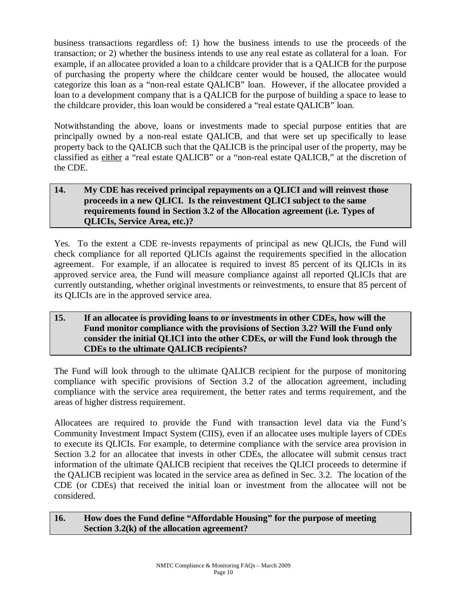business transactions regardless of: 1) how the business intends to use the proceeds of the transaction; or 2) whether the business intends to use any real estate as collateral for a loan. For example, if an allocatee provided a loan to a childcare provider that is a QALICB for the purpose of purchasing the property where the childcare center would be housed, the allocatee would categorize this loan as a "non-real estate QALICB" loan. However, if the allocatee provided a loan to a development company that is a QALICB for the purpose of building a space to lease to the childcare provider, this loan would be considered a "real estate QALICB" loan.

Notwithstanding the above, loans or investments made to special purpose entities that are principally owned by a non-real estate QALICB, and that were set up specifically to lease property back to the QALICB such that the QALICB is the principal user of the property, may be classified as either a "real estate QALICB" or a "non-real estate QALICB," at the discretion of the CDE.

#### **14. My CDE has received principal repayments on a QLICI and will reinvest those proceeds in a new QLICI. Is the reinvestment QLICI subject to the same requirements found in Section 3.2 of the Allocation agreement (i.e. Types of QLICIs, Service Area, etc.)?**

Yes. To the extent a CDE re-invests repayments of principal as new QLICIs, the Fund will check compliance for all reported QLICIs against the requirements specified in the allocation agreement. For example, if an allocatee is required to invest 85 percent of its QLICIs in its approved service area, the Fund will measure compliance against all reported QLICIs that are currently outstanding, whether original investments or reinvestments, to ensure that 85 percent of its QLICIs are in the approved service area.

#### **15. If an allocatee is providing loans to or investments in other CDEs, how will the Fund monitor compliance with the provisions of Section 3.2? Will the Fund only consider the initial QLICI into the other CDEs, or will the Fund look through the CDEs to the ultimate QALICB recipients?**

The Fund will look through to the ultimate QALICB recipient for the purpose of monitoring compliance with specific provisions of Section 3.2 of the allocation agreement, including compliance with the service area requirement, the better rates and terms requirement, and the areas of higher distress requirement.

Allocatees are required to provide the Fund with transaction level data via the Fund's Community Investment Impact System (CIIS), even if an allocatee uses multiple layers of CDEs to execute its QLICIs. For example, to determine compliance with the service area provision in Section 3.2 for an allocatee that invests in other CDEs, the allocatee will submit census tract information of the ultimate QALICB recipient that receives the QLICI proceeds to determine if the QALICB recipient was located in the service area as defined in Sec. 3.2. The location of the CDE (or CDEs) that received the initial loan or investment from the allocatee will not be considered.

#### **16. How does the Fund define "Affordable Housing" for the purpose of meeting Section 3.2(k) of the allocation agreement?**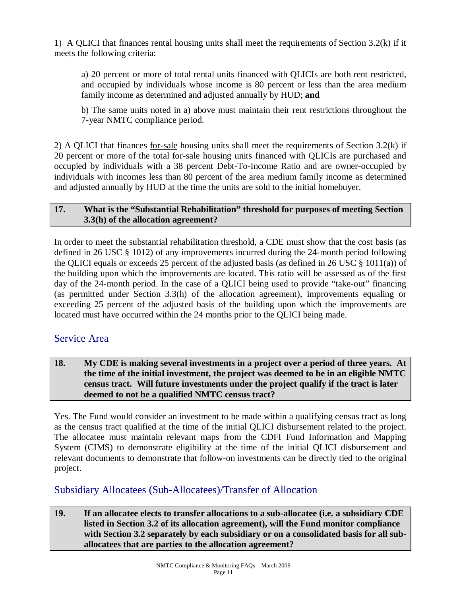1) A QLICI that finances rental housing units shall meet the requirements of Section 3.2(k) if it meets the following criteria:

a) 20 percent or more of total rental units financed with QLICIs are both rent restricted, and occupied by individuals whose income is 80 percent or less than the area medium family income as determined and adjusted annually by HUD; **and**

b) The same units noted in a) above must maintain their rent restrictions throughout the 7-year NMTC compliance period.

2) A QLICI that finances for-sale housing units shall meet the requirements of Section 3.2(k) if 20 percent or more of the total for-sale housing units financed with QLICIs are purchased and occupied by individuals with a 38 percent Debt-To-Income Ratio and are owner-occupied by individuals with incomes less than 80 percent of the area medium family income as determined and adjusted annually by HUD at the time the units are sold to the initial homebuyer.

#### **17. What is the "Substantial Rehabilitation" threshold for purposes of meeting Section 3.3(h) of the allocation agreement?**

In order to meet the substantial rehabilitation threshold, a CDE must show that the cost basis (as defined in 26 USC § 1012) of any improvements incurred during the 24-month period following the QLICI equals or exceeds 25 percent of the adjusted basis (as defined in 26 USC § 1011(a)) of the building upon which the improvements are located. This ratio will be assessed as of the first day of the 24-month period. In the case of a QLICI being used to provide "take-out" financing (as permitted under Section 3.3(h) of the allocation agreement), improvements equaling or exceeding 25 percent of the adjusted basis of the building upon which the improvements are located must have occurred within the 24 months prior to the QLICI being made.

#### Service Area

**18. My CDE is making several investments in a project over a period of three years. At the time of the initial investment, the project was deemed to be in an eligible NMTC census tract. Will future investments under the project qualify if the tract is later deemed to not be a qualified NMTC census tract?** 

Yes. The Fund would consider an investment to be made within a qualifying census tract as long as the census tract qualified at the time of the initial QLICI disbursement related to the project. The allocatee must maintain relevant maps from the CDFI Fund Information and Mapping System (CIMS) to demonstrate eligibility at the time of the initial QLICI disbursement and relevant documents to demonstrate that follow-on investments can be directly tied to the original project.

Subsidiary Allocatees (Sub-Allocatees)/Transfer of Allocation

**19. If an allocatee elects to transfer allocations to a sub-allocatee (i.e. a subsidiary CDE listed in Section 3.2 of its allocation agreement), will the Fund monitor compliance with Section 3.2 separately by each subsidiary or on a consolidated basis for all suballocatees that are parties to the allocation agreement?**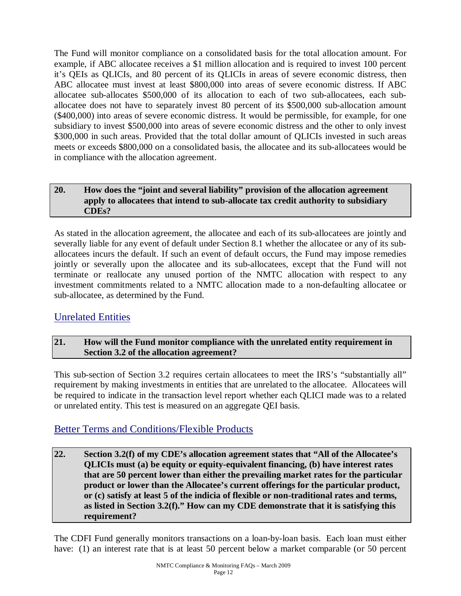The Fund will monitor compliance on a consolidated basis for the total allocation amount. For example, if ABC allocatee receives a \$1 million allocation and is required to invest 100 percent it's QEIs as QLICIs, and 80 percent of its QLICIs in areas of severe economic distress, then ABC allocatee must invest at least \$800,000 into areas of severe economic distress. If ABC allocatee sub-allocates \$500,000 of its allocation to each of two sub-allocatees, each suballocatee does not have to separately invest 80 percent of its \$500,000 sub-allocation amount (\$400,000) into areas of severe economic distress. It would be permissible, for example, for one subsidiary to invest \$500,000 into areas of severe economic distress and the other to only invest \$300,000 in such areas. Provided that the total dollar amount of QLICIs invested in such areas meets or exceeds \$800,000 on a consolidated basis, the allocatee and its sub-allocatees would be in compliance with the allocation agreement.

#### **20. How does the "joint and several liability" provision of the allocation agreement apply to allocatees that intend to sub-allocate tax credit authority to subsidiary CDEs?**

As stated in the allocation agreement, the allocatee and each of its sub-allocatees are jointly and severally liable for any event of default under Section 8.1 whether the allocatee or any of its suballocatees incurs the default. If such an event of default occurs, the Fund may impose remedies jointly or severally upon the allocatee and its sub-allocatees, except that the Fund will not terminate or reallocate any unused portion of the NMTC allocation with respect to any investment commitments related to a NMTC allocation made to a non-defaulting allocatee or sub-allocatee, as determined by the Fund.

### Unrelated Entities

#### **21. How will the Fund monitor compliance with the unrelated entity requirement in Section 3.2 of the allocation agreement?**

This sub-section of Section 3.2 requires certain allocatees to meet the IRS's "substantially all" requirement by making investments in entities that are unrelated to the allocatee. Allocatees will be required to indicate in the transaction level report whether each QLICI made was to a related or unrelated entity. This test is measured on an aggregate QEI basis.

#### Better Terms and Conditions/Flexible Products

**22. Section 3.2(f) of my CDE's allocation agreement states that "All of the Allocatee's QLICIs must (a) be equity or equity-equivalent financing, (b) have interest rates that are 50 percent lower than either the prevailing market rates for the particular product or lower than the Allocatee's current offerings for the particular product, or (c) satisfy at least 5 of the indicia of flexible or non-traditional rates and terms, as listed in Section 3.2(f)." How can my CDE demonstrate that it is satisfying this requirement?** 

The CDFI Fund generally monitors transactions on a loan-by-loan basis. Each loan must either have: (1) an interest rate that is at least 50 percent below a market comparable (or 50 percent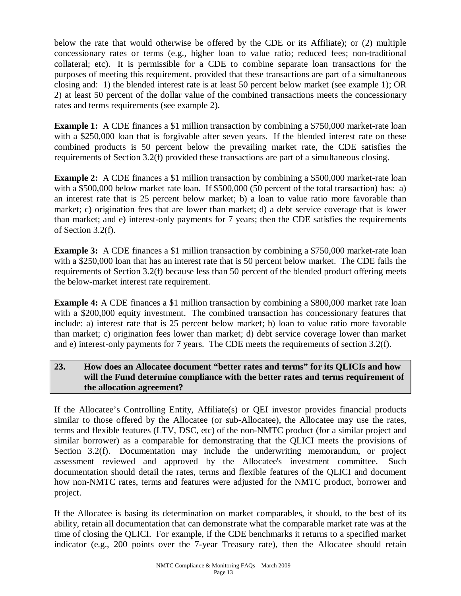below the rate that would otherwise be offered by the CDE or its Affiliate); or (2) multiple concessionary rates or terms (e.g., higher loan to value ratio; reduced fees; non-traditional collateral; etc). It is permissible for a CDE to combine separate loan transactions for the purposes of meeting this requirement, provided that these transactions are part of a simultaneous closing and: 1) the blended interest rate is at least 50 percent below market (see example 1); OR 2) at least 50 percent of the dollar value of the combined transactions meets the concessionary rates and terms requirements (see example 2).

**Example 1:** A CDE finances a \$1 million transaction by combining a \$750,000 market-rate loan with a \$250,000 loan that is forgivable after seven years. If the blended interest rate on these combined products is 50 percent below the prevailing market rate, the CDE satisfies the requirements of Section 3.2(f) provided these transactions are part of a simultaneous closing.

**Example 2:** A CDE finances a \$1 million transaction by combining a \$500,000 market-rate loan with a \$500,000 below market rate loan. If \$500,000 (50 percent of the total transaction) has: a) an interest rate that is 25 percent below market; b) a loan to value ratio more favorable than market; c) origination fees that are lower than market; d) a debt service coverage that is lower than market; and e) interest-only payments for 7 years; then the CDE satisfies the requirements of Section 3.2(f).

**Example 3:** A CDE finances a \$1 million transaction by combining a \$750,000 market-rate loan with a \$250,000 loan that has an interest rate that is 50 percent below market. The CDE fails the requirements of Section 3.2(f) because less than 50 percent of the blended product offering meets the below-market interest rate requirement.

**Example 4:** A CDE finances a \$1 million transaction by combining a \$800,000 market rate loan with a \$200,000 equity investment. The combined transaction has concessionary features that include: a) interest rate that is 25 percent below market; b) loan to value ratio more favorable than market; c) origination fees lower than market; d) debt service coverage lower than market and e) interest-only payments for 7 years. The CDE meets the requirements of section 3.2(f).

#### **23. How does an Allocatee document "better rates and terms" for its QLICIs and how will the Fund determine compliance with the better rates and terms requirement of the allocation agreement?**

If the Allocatee's Controlling Entity, Affiliate(s) or QEI investor provides financial products similar to those offered by the Allocatee (or sub-Allocatee), the Allocatee may use the rates, terms and flexible features (LTV, DSC, etc) of the non-NMTC product (for a similar project and similar borrower) as a comparable for demonstrating that the QLICI meets the provisions of Section 3.2(f). Documentation may include the underwriting memorandum, or project assessment reviewed and approved by the Allocatee's investment committee. Such documentation should detail the rates, terms and flexible features of the QLICI and document how non-NMTC rates, terms and features were adjusted for the NMTC product, borrower and project.

If the Allocatee is basing its determination on market comparables, it should, to the best of its ability, retain all documentation that can demonstrate what the comparable market rate was at the time of closing the QLICI. For example, if the CDE benchmarks it returns to a specified market indicator (e.g., 200 points over the 7-year Treasury rate), then the Allocatee should retain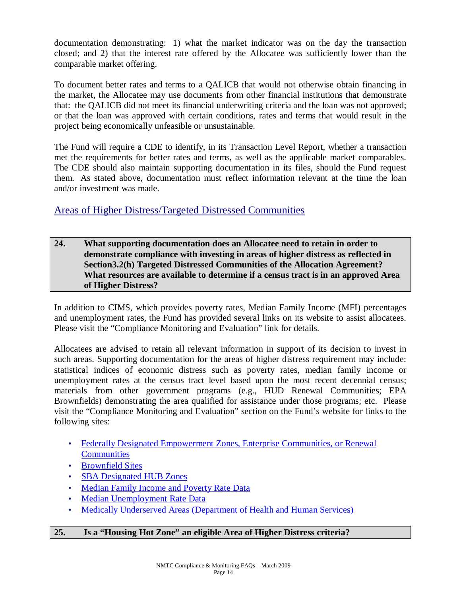documentation demonstrating: 1) what the market indicator was on the day the transaction closed; and 2) that the interest rate offered by the Allocatee was sufficiently lower than the comparable market offering.

To document better rates and terms to a QALICB that would not otherwise obtain financing in the market, the Allocatee may use documents from other financial institutions that demonstrate that: the QALICB did not meet its financial underwriting criteria and the loan was not approved; or that the loan was approved with certain conditions, rates and terms that would result in the project being economically unfeasible or unsustainable.

The Fund will require a CDE to identify, in its Transaction Level Report, whether a transaction met the requirements for better rates and terms, as well as the applicable market comparables. The CDE should also maintain supporting documentation in its files, should the Fund request them. As stated above, documentation must reflect information relevant at the time the loan and/or investment was made.

#### Areas of Higher Distress/Targeted Distressed Communities

**24. What supporting documentation does an Allocatee need to retain in order to demonstrate compliance with investing in areas of higher distress as reflected in Section3.2(h) Targeted Distressed Communities of the Allocation Agreement? What resources are available to determine if a census tract is in an approved Area of Higher Distress?** 

In addition to CIMS, which provides poverty rates, Median Family Income (MFI) percentages and unemployment rates, the Fund has provided several links on its website to assist allocatees. Please visit the "Compliance Monitoring and Evaluation" link for details.

Allocatees are advised to retain all relevant information in support of its decision to invest in such areas. Supporting documentation for the areas of higher distress requirement may include: statistical indices of economic distress such as poverty rates, median family income or unemployment rates at the census tract level based upon the most recent decennial census; materials from other government programs (e.g., HUD Renewal Communities; EPA Brownfields) demonstrating the area qualified for assistance under those programs; etc. Please visit the "Compliance Monitoring and Evaluation" section on the Fund's website for links to the following sites:

- Federally Designated Empowerment Zones, Enterprise Communities, or Renewal **Communities**
- Brownfield Sites
- SBA Designated HUB Zones
- Median Family Income and Poverty Rate Data
- Median Unemployment Rate Data
- Medically Underserved Areas (Department of Health and Human Services)

#### **25. Is a "Housing Hot Zone" an eligible Area of Higher Distress criteria?**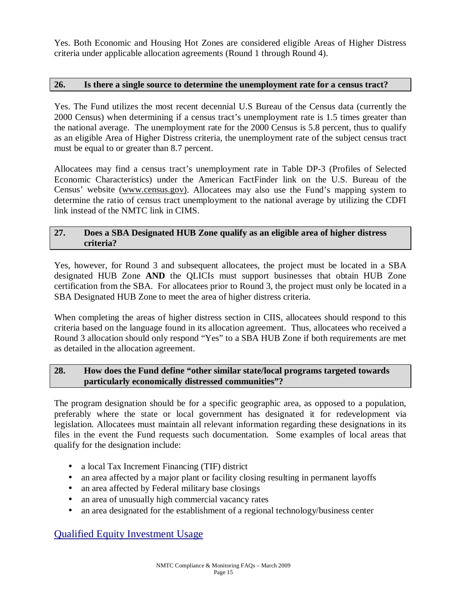Yes. Both Economic and Housing Hot Zones are considered eligible Areas of Higher Distress criteria under applicable allocation agreements (Round 1 through Round 4).

#### **26. Is there a single source to determine the unemployment rate for a census tract?**

Yes. The Fund utilizes the most recent decennial U.S Bureau of the Census data (currently the 2000 Census) when determining if a census tract's unemployment rate is 1.5 times greater than the national average. The unemployment rate for the 2000 Census is 5.8 percent, thus to qualify as an eligible Area of Higher Distress criteria, the unemployment rate of the subject census tract must be equal to or greater than 8.7 percent.

Allocatees may find a census tract's unemployment rate in Table DP-3 (Profiles of Selected Economic Characteristics) under the American FactFinder link on the U.S. Bureau of the Census' website [\(www.census.gov\)](http://www.census.gov)). Allocatees may also use the Fund's mapping system to determine the ratio of census tract unemployment to the national average by utilizing the CDFI link instead of the NMTC link in CIMS.

#### **27. Does a SBA Designated HUB Zone qualify as an eligible area of higher distress criteria?**

Yes, however, for Round 3 and subsequent allocatees, the project must be located in a SBA designated HUB Zone **AND** the QLICIs must support businesses that obtain HUB Zone certification from the SBA. For allocatees prior to Round 3, the project must only be located in a SBA Designated HUB Zone to meet the area of higher distress criteria.

When completing the areas of higher distress section in CIIS, allocatees should respond to this criteria based on the language found in its allocation agreement. Thus, allocatees who received a Round 3 allocation should only respond "Yes" to a SBA HUB Zone if both requirements are met as detailed in the allocation agreement.

#### **28. How does the Fund define "other similar state/local programs targeted towards particularly economically distressed communities"?**

The program designation should be for a specific geographic area, as opposed to a population, preferably where the state or local government has designated it for redevelopment via legislation. Allocatees must maintain all relevant information regarding these designations in its files in the event the Fund requests such documentation. Some examples of local areas that qualify for the designation include:

- a local Tax Increment Financing (TIF) district
- an area affected by a major plant or facility closing resulting in permanent layoffs
- an area affected by Federal military base closings
- an area of unusually high commercial vacancy rates
- an area designated for the establishment of a regional technology/business center

#### Qualified Equity Investment Usage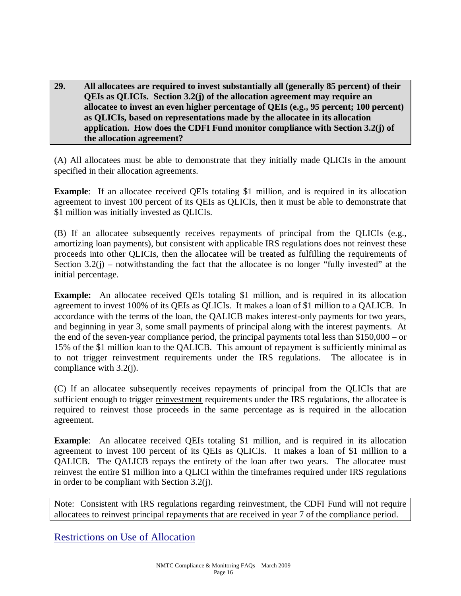**29. All allocatees are required to invest substantially all (generally 85 percent) of their QEIs as QLICIs. Section 3.2(j) of the allocation agreement may require an allocatee to invest an even higher percentage of QEIs (e.g., 95 percent; 100 percent) as QLICIs, based on representations made by the allocatee in its allocation application. How does the CDFI Fund monitor compliance with Section 3.2(j) of the allocation agreement?** 

(A) All allocatees must be able to demonstrate that they initially made QLICIs in the amount specified in their allocation agreements.

**Example**: If an allocatee received QEIs totaling \$1 million, and is required in its allocation agreement to invest 100 percent of its QEIs as QLICIs, then it must be able to demonstrate that \$1 million was initially invested as QLICIs.

(B) If an allocatee subsequently receives repayments of principal from the QLICIs (e.g., amortizing loan payments), but consistent with applicable IRS regulations does not reinvest these proceeds into other QLICIs, then the allocatee will be treated as fulfilling the requirements of Section  $3.2(i)$  – notwithstanding the fact that the allocatee is no longer "fully invested" at the initial percentage.

**Example:** An allocatee received QEIs totaling \$1 million, and is required in its allocation agreement to invest 100% of its QEIs as QLICIs. It makes a loan of \$1 million to a QALICB. In accordance with the terms of the loan, the QALICB makes interest-only payments for two years, and beginning in year 3, some small payments of principal along with the interest payments. At the end of the seven-year compliance period, the principal payments total less than \$150,000 – or 15% of the \$1 million loan to the QALICB. This amount of repayment is sufficiently minimal as to not trigger reinvestment requirements under the IRS regulations. The allocatee is in compliance with 3.2(j).

(C) If an allocatee subsequently receives repayments of principal from the QLICIs that are sufficient enough to trigger reinvestment requirements under the IRS regulations, the allocatee is required to reinvest those proceeds in the same percentage as is required in the allocation agreement.

**Example:** An allocatee received QEIs totaling \$1 million, and is required in its allocation agreement to invest 100 percent of its QEIs as QLICIs. It makes a loan of \$1 million to a QALICB. The QALICB repays the entirety of the loan after two years. The allocatee must reinvest the entire \$1 million into a QLICI within the timeframes required under IRS regulations in order to be compliant with Section 3.2(j).

Note: Consistent with IRS regulations regarding reinvestment, the CDFI Fund will not require allocatees to reinvest principal repayments that are received in year 7 of the compliance period.

Restrictions on Use of Allocation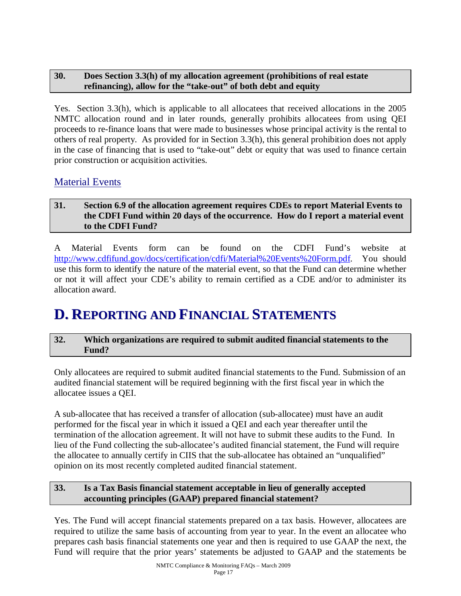#### **30. Does Section 3.3(h) of my allocation agreement (prohibitions of real estate refinancing), allow for the "take-out" of both debt and equity**

Yes. Section 3.3(h), which is applicable to all allocatees that received allocations in the 2005 NMTC allocation round and in later rounds, generally prohibits allocatees from using QEI proceeds to re-finance loans that were made to businesses whose principal activity is the rental to others of real property. As provided for in Section 3.3(h), this general prohibition does not apply in the case of financing that is used to "take-out" debt or equity that was used to finance certain prior construction or acquisition activities.

#### Material Events

#### **31. Section 6.9 of the allocation agreement requires CDEs to report Material Events to the CDFI Fund within 20 days of the occurrence. How do I report a material event to the CDFI Fund?**

A Material Events form can be found on the CDFI Fund's website at <http://www.cdfifund.gov/docs/certification/cdfi/Material%20Events%20Form.pdf>. You should use this form to identify the nature of the material event, so that the Fund can determine whether or not it will affect your CDE's ability to remain certified as a CDE and/or to administer its allocation award.

# **D. REPORTING AND FINANCIAL STATEMENTS**

#### **32. Which organizations are required to submit audited financial statements to the Fund?**

Only allocatees are required to submit audited financial statements to the Fund. Submission of an audited financial statement will be required beginning with the first fiscal year in which the allocatee issues a QEI.

A sub-allocatee that has received a transfer of allocation (sub-allocatee) must have an audit performed for the fiscal year in which it issued a QEI and each year thereafter until the termination of the allocation agreement. It will not have to submit these audits to the Fund. In lieu of the Fund collecting the sub-allocatee's audited financial statement, the Fund will require the allocatee to annually certify in CIIS that the sub-allocatee has obtained an "unqualified" opinion on its most recently completed audited financial statement.

#### **33. Is a Tax Basis financial statement acceptable in lieu of generally accepted accounting principles (GAAP) prepared financial statement?**

Yes. The Fund will accept financial statements prepared on a tax basis. However, allocatees are required to utilize the same basis of accounting from year to year. In the event an allocatee who prepares cash basis financial statements one year and then is required to use GAAP the next, the Fund will require that the prior years' statements be adjusted to GAAP and the statements be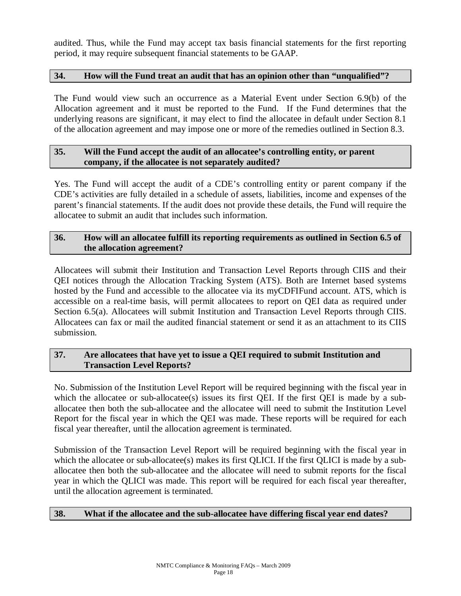audited. Thus, while the Fund may accept tax basis financial statements for the first reporting period, it may require subsequent financial statements to be GAAP.

#### **34. How will the Fund treat an audit that has an opinion other than "unqualified"?**

The Fund would view such an occurrence as a Material Event under Section 6.9(b) of the Allocation agreement and it must be reported to the Fund. If the Fund determines that the underlying reasons are significant, it may elect to find the allocatee in default under Section 8.1 of the allocation agreement and may impose one or more of the remedies outlined in Section 8.3.

#### **35. Will the Fund accept the audit of an allocatee's controlling entity, or parent company, if the allocatee is not separately audited?**

Yes. The Fund will accept the audit of a CDE's controlling entity or parent company if the CDE's activities are fully detailed in a schedule of assets, liabilities, income and expenses of the parent's financial statements. If the audit does not provide these details, the Fund will require the allocatee to submit an audit that includes such information.

#### **36. How will an allocatee fulfill its reporting requirements as outlined in Section 6.5 of the allocation agreement?**

Allocatees will submit their Institution and Transaction Level Reports through CIIS and their QEI notices through the Allocation Tracking System (ATS). Both are Internet based systems hosted by the Fund and accessible to the allocatee via its myCDFIFund account. ATS, which is accessible on a real-time basis, will permit allocatees to report on QEI data as required under Section 6.5(a). Allocatees will submit Institution and Transaction Level Reports through CIIS. Allocatees can fax or mail the audited financial statement or send it as an attachment to its CIIS submission.

#### **37. Are allocatees that have yet to issue a QEI required to submit Institution and Transaction Level Reports?**

No. Submission of the Institution Level Report will be required beginning with the fiscal year in which the allocate or sub-allocatee(s) issues its first QEI. If the first QEI is made by a suballocatee then both the sub-allocatee and the allocatee will need to submit the Institution Level Report for the fiscal year in which the QEI was made. These reports will be required for each fiscal year thereafter, until the allocation agreement is terminated.

Submission of the Transaction Level Report will be required beginning with the fiscal year in which the allocatee or sub-allocatee(s) makes its first OLICI. If the first OLICI is made by a suballocatee then both the sub-allocatee and the allocatee will need to submit reports for the fiscal year in which the QLICI was made. This report will be required for each fiscal year thereafter, until the allocation agreement is terminated.

#### **38. What if the allocatee and the sub-allocatee have differing fiscal year end dates?**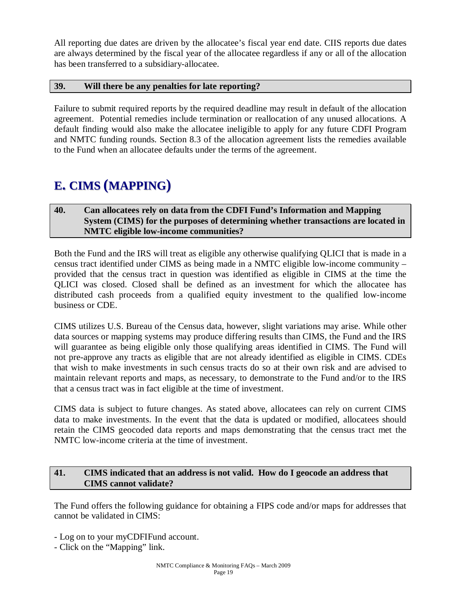All reporting due dates are driven by the allocatee's fiscal year end date. CIIS reports due dates are always determined by the fiscal year of the allocatee regardless if any or all of the allocation has been transferred to a subsidiary-allocatee.

#### **39. Will there be any penalties for late reporting?**

Failure to submit required reports by the required deadline may result in default of the allocation agreement. Potential remedies include termination or reallocation of any unused allocations. A default finding would also make the allocatee ineligible to apply for any future CDFI Program and NMTC funding rounds. Section 8.3 of the allocation agreement lists the remedies available to the Fund when an allocatee defaults under the terms of the agreement.

### **E. CIMS (MAPPING)**

#### **40. Can allocatees rely on data from the CDFI Fund's Information and Mapping System (CIMS) for the purposes of determining whether transactions are located in NMTC eligible low-income communities?**

Both the Fund and the IRS will treat as eligible any otherwise qualifying QLICI that is made in a census tract identified under CIMS as being made in a NMTC eligible low-income community – provided that the census tract in question was identified as eligible in CIMS at the time the QLICI was closed. Closed shall be defined as an investment for which the allocatee has distributed cash proceeds from a qualified equity investment to the qualified low-income business or CDE.

CIMS utilizes U.S. Bureau of the Census data, however, slight variations may arise. While other data sources or mapping systems may produce differing results than CIMS, the Fund and the IRS will guarantee as being eligible only those qualifying areas identified in CIMS. The Fund will not pre-approve any tracts as eligible that are not already identified as eligible in CIMS. CDEs that wish to make investments in such census tracts do so at their own risk and are advised to maintain relevant reports and maps, as necessary, to demonstrate to the Fund and/or to the IRS that a census tract was in fact eligible at the time of investment.

CIMS data is subject to future changes. As stated above, allocatees can rely on current CIMS data to make investments. In the event that the data is updated or modified, allocatees should retain the CIMS geocoded data reports and maps demonstrating that the census tract met the NMTC low-income criteria at the time of investment.

#### **41. CIMS indicated that an address is not valid. How do I geocode an address that CIMS cannot validate?**

The Fund offers the following guidance for obtaining a FIPS code and/or maps for addresses that cannot be validated in CIMS:

- Log on to your myCDFIFund account.
- Click on the "Mapping" link.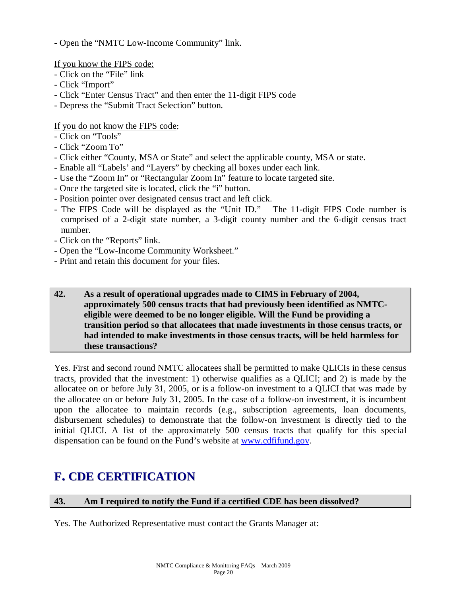- Open the "NMTC Low-Income Community" link.

If you know the FIPS code:

- Click on the "File" link
- Click "Import"
- Click "Enter Census Tract" and then enter the 11-digit FIPS code
- Depress the "Submit Tract Selection" button.

If you do not know the FIPS code:

- Click on "Tools"
- Click "Zoom To"
- Click either "County, MSA or State" and select the applicable county, MSA or state.
- Enable all "Labels' and "Layers" by checking all boxes under each link.
- Use the "Zoom In" or "Rectangular Zoom In" feature to locate targeted site.
- Once the targeted site is located, click the "i" button.
- Position pointer over designated census tract and left click.
- The FIPS Code will be displayed as the "Unit ID." The 11-digit FIPS Code number is comprised of a 2-digit state number, a 3-digit county number and the 6-digit census tract number.
- Click on the "Reports" link.
- Open the "Low-Income Community Worksheet."
- Print and retain this document for your files.

#### **42. As a result of operational upgrades made to CIMS in February of 2004, approximately 500 census tracts that had previously been identified as NMTCeligible were deemed to be no longer eligible. Will the Fund be providing a transition period so that allocatees that made investments in those census tracts, or had intended to make investments in those census tracts, will be held harmless for these transactions?**

Yes. First and second round NMTC allocatees shall be permitted to make QLICIs in these census tracts, provided that the investment: 1) otherwise qualifies as a QLICI; and 2) is made by the allocatee on or before July 31, 2005, or is a follow-on investment to a QLICI that was made by the allocatee on or before July 31, 2005. In the case of a follow-on investment, it is incumbent upon the allocatee to maintain records (e.g., subscription agreements, loan documents, disbursement schedules) to demonstrate that the follow-on investment is directly tied to the initial QLICI. A list of the approximately 500 census tracts that qualify for this special dispensation can be found on the Fund's website at [www.cdfifund.gov.](http://www.cdfifund.gov)

## **F. CDE CERTIFICATION**

**43. Am I required to notify the Fund if a certified CDE has been dissolved?** 

Yes. The Authorized Representative must contact the Grants Manager at: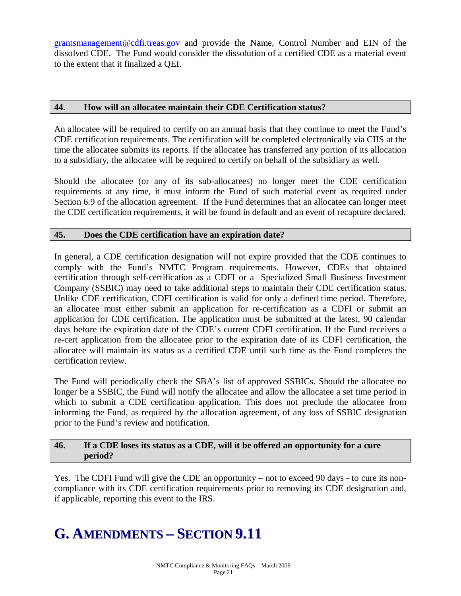[grantsmanagement@cdfi.treas.gov](mailto:grantsmanagement@cdfi.treas.gov) and provide the Name, Control Number and EIN of the dissolved CDE. The Fund would consider the dissolution of a certified CDE as a material event to the extent that it finalized a QEI.

#### **44. How will an allocatee maintain their CDE Certification status?**

An allocatee will be required to certify on an annual basis that they continue to meet the Fund's CDE certification requirements. The certification will be completed electronically via CIIS at the time the allocatee submits its reports. If the allocatee has transferred any portion of its allocation to a subsidiary, the allocatee will be required to certify on behalf of the subsidiary as well.

Should the allocatee (or any of its sub-allocatees) no longer meet the CDE certification requirements at any time, it must inform the Fund of such material event as required under Section 6.9 of the allocation agreement. If the Fund determines that an allocatee can longer meet the CDE certification requirements, it will be found in default and an event of recapture declared.

#### **45. Does the CDE certification have an expiration date?**

In general, a CDE certification designation will not expire provided that the CDE continues to comply with the Fund's NMTC Program requirements. However, CDEs that obtained certification through self-certification as a CDFI or a Specialized Small Business Investment Company (SSBIC) may need to take additional steps to maintain their CDE certification status. Unlike CDE certification, CDFI certification is valid for only a defined time period. Therefore, an allocatee must either submit an application for re-certification as a CDFI or submit an application for CDE certification. The application must be submitted at the latest, 90 calendar days before the expiration date of the CDE's current CDFI certification. If the Fund receives a re-cert application from the allocatee prior to the expiration date of its CDFI certification, the allocatee will maintain its status as a certified CDE until such time as the Fund completes the certification review.

The Fund will periodically check the SBA's list of approved SSBICs. Should the allocatee no longer be a SSBIC, the Fund will notify the allocatee and allow the allocatee a set time period in which to submit a CDE certification application. This does not preclude the allocatee from informing the Fund, as required by the allocation agreement, of any loss of SSBIC designation prior to the Fund's review and notification.

#### **46. If a CDE loses its status as a CDE, will it be offered an opportunity for a cure period?**

Yes. The CDFI Fund will give the CDE an opportunity – not to exceed 90 days - to cure its noncompliance with its CDE certification requirements prior to removing its CDE designation and, if applicable, reporting this event to the IRS.

# **G. AMENDMENTS – SECTION 9.11**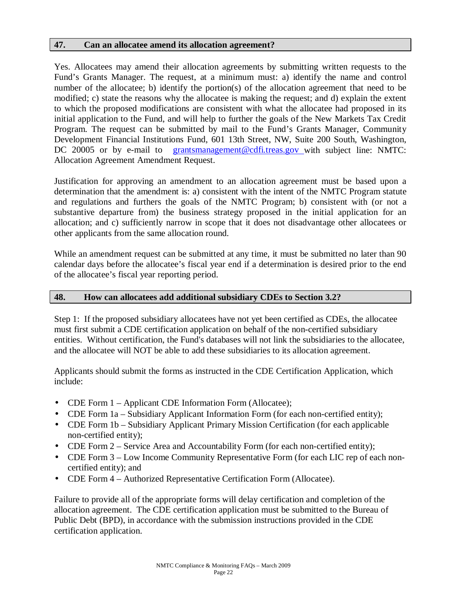#### **47. Can an allocatee amend its allocation agreement?**

Yes. Allocatees may amend their allocation agreements by submitting written requests to the Fund's Grants Manager. The request, at a minimum must: a) identify the name and control number of the allocatee; b) identify the portion(s) of the allocation agreement that need to be modified; c) state the reasons why the allocatee is making the request; and d) explain the extent to which the proposed modifications are consistent with what the allocatee had proposed in its initial application to the Fund, and will help to further the goals of the New Markets Tax Credit Program. The request can be submitted by mail to the Fund's Grants Manager, Community Development Financial Institutions Fund, 601 13th Street, NW, Suite 200 South, Washington, DC 20005 or by e-mail to [grantsmanagement@cdfi.treas.gov](mailto:grantsmanagement@cdfi.treas.gov) with subject line: NMTC: Allocation Agreement Amendment Request.

Justification for approving an amendment to an allocation agreement must be based upon a determination that the amendment is: a) consistent with the intent of the NMTC Program statute and regulations and furthers the goals of the NMTC Program; b) consistent with (or not a substantive departure from) the business strategy proposed in the initial application for an allocation; and c) sufficiently narrow in scope that it does not disadvantage other allocatees or other applicants from the same allocation round.

While an amendment request can be submitted at any time, it must be submitted no later than 90 calendar days before the allocatee's fiscal year end if a determination is desired prior to the end of the allocatee's fiscal year reporting period.

#### **48. How can allocatees add additional subsidiary CDEs to Section 3.2?**

Step 1: If the proposed subsidiary allocatees have not yet been certified as CDEs, the allocatee must first submit a CDE certification application on behalf of the non-certified subsidiary entities. Without certification, the Fund's databases will not link the subsidiaries to the allocatee, and the allocatee will NOT be able to add these subsidiaries to its allocation agreement.

Applicants should submit the forms as instructed in the CDE Certification Application, which include:

- CDE Form 1 Applicant CDE Information Form (Allocatee);
- CDE Form 1a Subsidiary Applicant Information Form (for each non-certified entity);
- CDE Form 1b Subsidiary Applicant Primary Mission Certification (for each applicable non-certified entity);
- CDE Form 2 Service Area and Accountability Form (for each non-certified entity);
- CDE Form 3 Low Income Community Representative Form (for each LIC rep of each noncertified entity); and
- CDE Form 4 Authorized Representative Certification Form (Allocatee).

Failure to provide all of the appropriate forms will delay certification and completion of the allocation agreement. The CDE certification application must be submitted to the Bureau of Public Debt (BPD), in accordance with the submission instructions provided in the CDE certification application.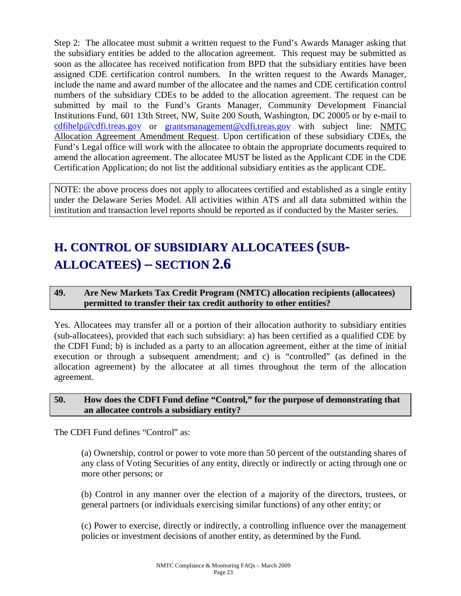Step 2: The allocatee must submit a written request to the Fund's Awards Manager asking that the subsidiary entities be added to the allocation agreement. This request may be submitted as soon as the allocatee has received notification from BPD that the subsidiary entities have been assigned CDE certification control numbers. In the written request to the Awards Manager, include the name and award number of the allocatee and the names and CDE certification control numbers of the subsidiary CDEs to be added to the allocation agreement. The request can be submitted by mail to the Fund's Grants Manager, Community Development Financial Institutions Fund, 601 13th Street, NW, Suite 200 South, Washington, DC 20005 or by e-mail to [cdfihelp@cdfi.treas.gov](mailto:cdfihelp@cdfi.treas.gov) or grantsmanagement@cdfi.treas.gov with subject line: NMTC Allocation Agreement Amendment Request. Upon certification of these subsidiary CDEs, the Fund's Legal office will work with the allocatee to obtain the appropriate documents required to amend the allocation agreement. The allocatee MUST be listed as the Applicant CDE in the CDE Certification Application; do not list the additional subsidiary entities as the applicant CDE.

NOTE: the above process does not apply to allocatees certified and established as a single entity under the Delaware Series Model. All activities within ATS and all data submitted within the institution and transaction level reports should be reported as if conducted by the Master series.

# **H. CONTROL OF SUBSIDIARY ALLOCATEES (SUB-ALLOCATEES) – SECTION 2.6**

#### **49. Are New Markets Tax Credit Program (NMTC) allocation recipients (allocatees) permitted to transfer their tax credit authority to other entities?**

Yes. Allocatees may transfer all or a portion of their allocation authority to subsidiary entities (sub-allocatees), provided that each such subsidiary: a) has been certified as a qualified CDE by the CDFI Fund; b) is included as a party to an allocation agreement, either at the time of initial execution or through a subsequent amendment; and c) is "controlled" (as defined in the allocation agreement) by the allocatee at all times throughout the term of the allocation agreement.

#### **50. How does the CDFI Fund define "Control," for the purpose of demonstrating that an allocatee controls a subsidiary entity?**

The CDFI Fund defines "Control" as:

(a) Ownership, control or power to vote more than 50 percent of the outstanding shares of any class of Voting Securities of any entity, directly or indirectly or acting through one or more other persons; or

(b) Control in any manner over the election of a majority of the directors, trustees, or general partners (or individuals exercising similar functions) of any other entity; or

(c) Power to exercise, directly or indirectly, a controlling influence over the management policies or investment decisions of another entity, as determined by the Fund.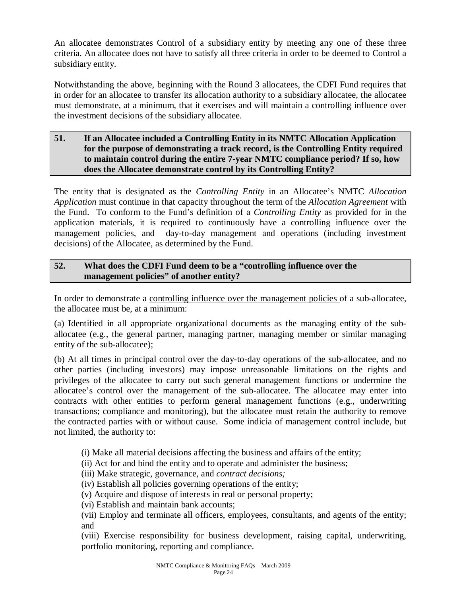An allocatee demonstrates Control of a subsidiary entity by meeting any one of these three criteria. An allocatee does not have to satisfy all three criteria in order to be deemed to Control a subsidiary entity.

Notwithstanding the above, beginning with the Round 3 allocatees, the CDFI Fund requires that in order for an allocatee to transfer its allocation authority to a subsidiary allocatee, the allocatee must demonstrate, at a minimum, that it exercises and will maintain a controlling influence over the investment decisions of the subsidiary allocatee.

#### **51. If an Allocatee included a Controlling Entity in its NMTC Allocation Application for the purpose of demonstrating a track record, is the Controlling Entity required to maintain control during the entire 7-year NMTC compliance period? If so, how does the Allocatee demonstrate control by its Controlling Entity?**

The entity that is designated as the *Controlling Entity* in an Allocatee's NMTC *Allocation Application* must continue in that capacity throughout the term of the *Allocation Agreement* with the Fund. To conform to the Fund's definition of a *Controlling Entity* as provided for in the application materials*,* it is required to continuously have a controlling influence over the management policies, and day-to-day management and operations (including investment decisions) of the Allocatee, as determined by the Fund.

#### **52. What does the CDFI Fund deem to be a "controlling influence over the management policies" of another entity?**

In order to demonstrate a controlling influence over the management policies of a sub-allocatee, the allocatee must be, at a minimum:

(a) Identified in all appropriate organizational documents as the managing entity of the suballocatee (e.g., the general partner, managing partner, managing member or similar managing entity of the sub-allocatee);

(b) At all times in principal control over the day-to-day operations of the sub-allocatee, and no other parties (including investors) may impose unreasonable limitations on the rights and privileges of the allocatee to carry out such general management functions or undermine the allocatee's control over the management of the sub-allocatee. The allocatee may enter into contracts with other entities to perform general management functions (e.g., underwriting transactions; compliance and monitoring), but the allocatee must retain the authority to remove the contracted parties with or without cause. Some indicia of management control include, but not limited, the authority to:

(i) Make all material decisions affecting the business and affairs of the entity;

- (ii) Act for and bind the entity and to operate and administer the business;
- (iii) Make strategic, governance, and *contract decisions;*

(iv) Establish all policies governing operations of the entity;

(v) Acquire and dispose of interests in real or personal property;

(vi) Establish and maintain bank accounts;

(vii) Employ and terminate all officers, employees, consultants, and agents of the entity; and

(viii) Exercise responsibility for business development, raising capital, underwriting, portfolio monitoring, reporting and compliance.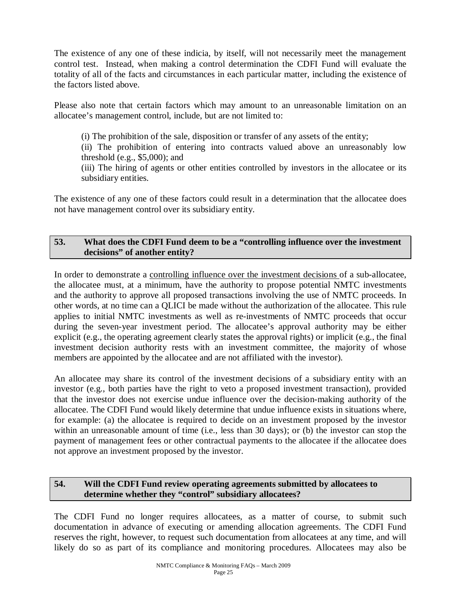The existence of any one of these indicia, by itself, will not necessarily meet the management control test. Instead, when making a control determination the CDFI Fund will evaluate the totality of all of the facts and circumstances in each particular matter, including the existence of the factors listed above.

Please also note that certain factors which may amount to an unreasonable limitation on an allocatee's management control, include, but are not limited to:

(i) The prohibition of the sale, disposition or transfer of any assets of the entity;

(ii) The prohibition of entering into contracts valued above an unreasonably low threshold (e.g., \$5,000); and

(iii) The hiring of agents or other entities controlled by investors in the allocatee or its subsidiary entities.

The existence of any one of these factors could result in a determination that the allocatee does not have management control over its subsidiary entity.

#### **53. What does the CDFI Fund deem to be a "controlling influence over the investment decisions" of another entity?**

In order to demonstrate a controlling influence over the investment decisions of a sub-allocatee, the allocatee must, at a minimum, have the authority to propose potential NMTC investments and the authority to approve all proposed transactions involving the use of NMTC proceeds. In other words, at no time can a QLICI be made without the authorization of the allocatee. This rule applies to initial NMTC investments as well as re-investments of NMTC proceeds that occur during the seven-year investment period. The allocatee's approval authority may be either explicit (e.g., the operating agreement clearly states the approval rights) or implicit (e.g., the final investment decision authority rests with an investment committee, the majority of whose members are appointed by the allocatee and are not affiliated with the investor).

An allocatee may share its control of the investment decisions of a subsidiary entity with an investor (e.g., both parties have the right to veto a proposed investment transaction), provided that the investor does not exercise undue influence over the decision-making authority of the allocatee. The CDFI Fund would likely determine that undue influence exists in situations where, for example: (a) the allocatee is required to decide on an investment proposed by the investor within an unreasonable amount of time (i.e., less than 30 days); or (b) the investor can stop the payment of management fees or other contractual payments to the allocatee if the allocatee does not approve an investment proposed by the investor.

#### **54. Will the CDFI Fund review operating agreements submitted by allocatees to determine whether they "control" subsidiary allocatees?**

The CDFI Fund no longer requires allocatees, as a matter of course, to submit such documentation in advance of executing or amending allocation agreements. The CDFI Fund reserves the right, however, to request such documentation from allocatees at any time, and will likely do so as part of its compliance and monitoring procedures. Allocatees may also be